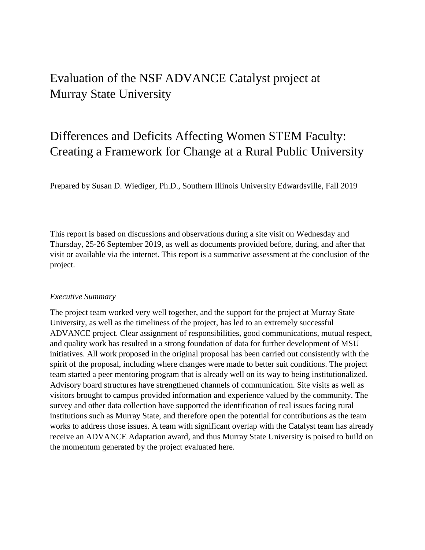## Evaluation of the NSF ADVANCE Catalyst project at Murray State University

## Differences and Deficits Affecting Women STEM Faculty: Creating a Framework for Change at a Rural Public University

Prepared by Susan D. Wiediger, Ph.D., Southern Illinois University Edwardsville, Fall 2019

This report is based on discussions and observations during a site visit on Wednesday and Thursday, 25-26 September 2019, as well as documents provided before, during, and after that visit or available via the internet. This report is a summative assessment at the conclusion of the project.

## *Executive Summary*

The project team worked very well together, and the support for the project at Murray State University, as well as the timeliness of the project, has led to an extremely successful ADVANCE project. Clear assignment of responsibilities, good communications, mutual respect, and quality work has resulted in a strong foundation of data for further development of MSU initiatives. All work proposed in the original proposal has been carried out consistently with the spirit of the proposal, including where changes were made to better suit conditions. The project team started a peer mentoring program that is already well on its way to being institutionalized. Advisory board structures have strengthened channels of communication. Site visits as well as visitors brought to campus provided information and experience valued by the community. The survey and other data collection have supported the identification of real issues facing rural institutions such as Murray State, and therefore open the potential for contributions as the team works to address those issues. A team with significant overlap with the Catalyst team has already receive an ADVANCE Adaptation award, and thus Murray State University is poised to build on the momentum generated by the project evaluated here.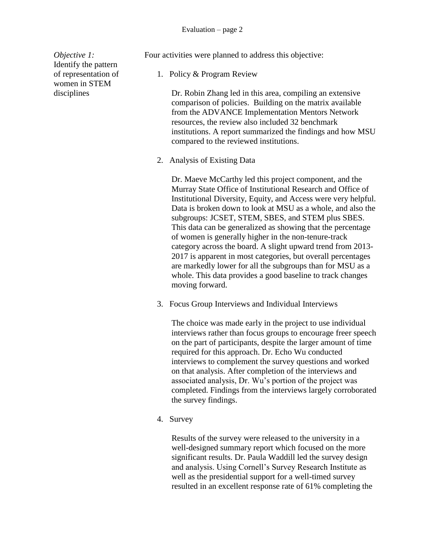*Objective 1:* Identify the pattern of representation of women in STEM disciplines

Four activities were planned to address this objective:

1. Policy & Program Review

Dr. Robin Zhang led in this area, compiling an extensive comparison of policies. Building on the matrix available from the ADVANCE Implementation Mentors Network resources, the review also included 32 benchmark institutions. A report summarized the findings and how MSU compared to the reviewed institutions.

2. Analysis of Existing Data

Dr. Maeve McCarthy led this project component, and the Murray State Office of Institutional Research and Office of Institutional Diversity, Equity, and Access were very helpful. Data is broken down to look at MSU as a whole, and also the subgroups: JCSET, STEM, SBES, and STEM plus SBES. This data can be generalized as showing that the percentage of women is generally higher in the non-tenure-track category across the board. A slight upward trend from 2013- 2017 is apparent in most categories, but overall percentages are markedly lower for all the subgroups than for MSU as a whole. This data provides a good baseline to track changes moving forward.

3. Focus Group Interviews and Individual Interviews

The choice was made early in the project to use individual interviews rather than focus groups to encourage freer speech on the part of participants, despite the larger amount of time required for this approach. Dr. Echo Wu conducted interviews to complement the survey questions and worked on that analysis. After completion of the interviews and associated analysis, Dr. Wu's portion of the project was completed. Findings from the interviews largely corroborated the survey findings.

4. Survey

Results of the survey were released to the university in a well-designed summary report which focused on the more significant results. Dr. Paula Waddill led the survey design and analysis. Using Cornell's Survey Research Institute as well as the presidential support for a well-timed survey resulted in an excellent response rate of 61% completing the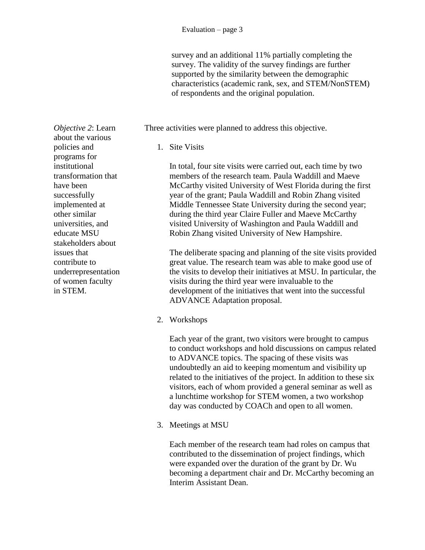survey and an additional 11% partially completing the survey. The validity of the survey findings are further supported by the similarity between the demographic characteristics (academic rank, sex, and STEM/NonSTEM) of respondents and the original population.

Three activities were planned to address this objective.

1. Site Visits

In total, four site visits were carried out, each time by two members of the research team. Paula Waddill and Maeve McCarthy visited University of West Florida during the first year of the grant; Paula Waddill and Robin Zhang visited Middle Tennessee State University during the second year; during the third year Claire Fuller and Maeve McCarthy visited University of Washington and Paula Waddill and Robin Zhang visited University of New Hampshire.

The deliberate spacing and planning of the site visits provided great value. The research team was able to make good use of the visits to develop their initiatives at MSU. In particular, the visits during the third year were invaluable to the development of the initiatives that went into the successful ADVANCE Adaptation proposal.

2. Workshops

Each year of the grant, two visitors were brought to campus to conduct workshops and hold discussions on campus related to ADVANCE topics. The spacing of these visits was undoubtedly an aid to keeping momentum and visibility up related to the initiatives of the project. In addition to these six visitors, each of whom provided a general seminar as well as a lunchtime workshop for STEM women, a two workshop day was conducted by COACh and open to all women.

3. Meetings at MSU

Each member of the research team had roles on campus that contributed to the dissemination of project findings, which were expanded over the duration of the grant by Dr. Wu becoming a department chair and Dr. McCarthy becoming an Interim Assistant Dean.

*Objective 2*: Learn about the various policies and programs for institutional transformation that have been successfully implemented at other similar universities, and educate MSU stakeholders about issues that contribute to underrepresentation of women faculty in STEM.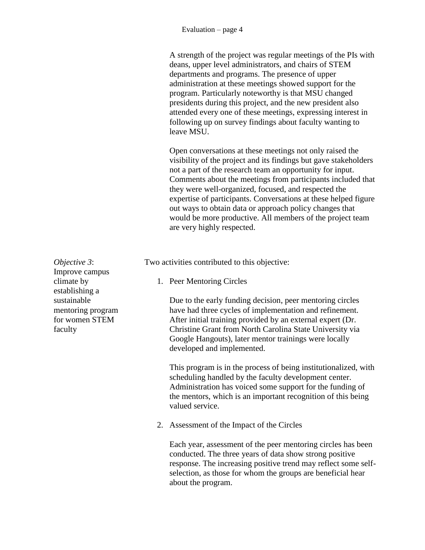A strength of the project was regular meetings of the PIs with deans, upper level administrators, and chairs of STEM departments and programs. The presence of upper administration at these meetings showed support for the program. Particularly noteworthy is that MSU changed presidents during this project, and the new president also attended every one of these meetings, expressing interest in following up on survey findings about faculty wanting to leave MSU.

Open conversations at these meetings not only raised the visibility of the project and its findings but gave stakeholders not a part of the research team an opportunity for input. Comments about the meetings from participants included that they were well-organized, focused, and respected the expertise of participants. Conversations at these helped figure out ways to obtain data or approach policy changes that would be more productive. All members of the project team are very highly respected.

Two activities contributed to this objective:

1. Peer Mentoring Circles

Due to the early funding decision, peer mentoring circles have had three cycles of implementation and refinement. After initial training provided by an external expert (Dr. Christine Grant from North Carolina State University via Google Hangouts), later mentor trainings were locally developed and implemented.

This program is in the process of being institutionalized, with scheduling handled by the faculty development center. Administration has voiced some support for the funding of the mentors, which is an important recognition of this being valued service.

2. Assessment of the Impact of the Circles

Each year, assessment of the peer mentoring circles has been conducted. The three years of data show strong positive response. The increasing positive trend may reflect some selfselection, as those for whom the groups are beneficial hear about the program.

*Objective 3*: Improve campus climate by establishing a sustainable mentoring program for women STEM faculty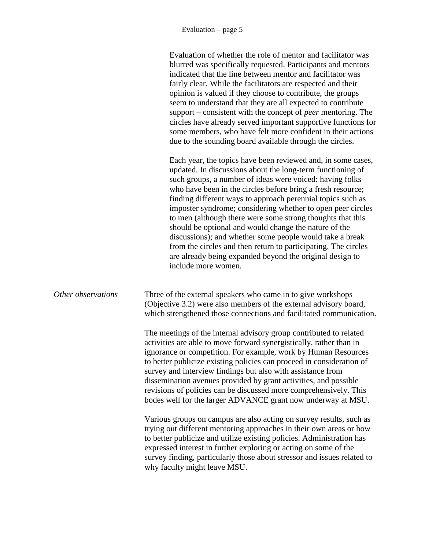|                    | Evaluation of whether the role of mentor and facilitator was<br>blurred was specifically requested. Participants and mentors<br>indicated that the line between mentor and facilitator was<br>fairly clear. While the facilitators are respected and their<br>opinion is valued if they choose to contribute, the groups<br>seem to understand that they are all expected to contribute<br>support – consistent with the concept of <i>peer</i> mentoring. The<br>circles have already served important supportive functions for<br>some members, who have felt more confident in their actions<br>due to the sounding board available through the circles.                                                                 |
|--------------------|-----------------------------------------------------------------------------------------------------------------------------------------------------------------------------------------------------------------------------------------------------------------------------------------------------------------------------------------------------------------------------------------------------------------------------------------------------------------------------------------------------------------------------------------------------------------------------------------------------------------------------------------------------------------------------------------------------------------------------|
|                    | Each year, the topics have been reviewed and, in some cases,<br>updated. In discussions about the long-term functioning of<br>such groups, a number of ideas were voiced: having folks<br>who have been in the circles before bring a fresh resource;<br>finding different ways to approach perennial topics such as<br>imposter syndrome; considering whether to open peer circles<br>to men (although there were some strong thoughts that this<br>should be optional and would change the nature of the<br>discussions); and whether some people would take a break<br>from the circles and then return to participating. The circles<br>are already being expanded beyond the original design to<br>include more women. |
| Other observations | Three of the external speakers who came in to give workshops<br>(Objective 3.2) were also members of the external advisory board,<br>which strengthened those connections and facilitated communication.                                                                                                                                                                                                                                                                                                                                                                                                                                                                                                                    |
|                    | The meetings of the internal advisory group contributed to related<br>activities are able to move forward synergistically, rather than in<br>ignorance or competition. For example, work by Human Resources<br>to better publicize existing policies can proceed in consideration of<br>survey and interview findings but also with assistance from<br>dissemination avenues provided by grant activities, and possible<br>revisions of policies can be discussed more comprehensively. This<br>bodes well for the larger ADVANCE grant now underway at MSU.                                                                                                                                                                |
|                    | Various groups on campus are also acting on survey results, such as<br>trying out different mentoring approaches in their own areas or how<br>to better publicize and utilize existing policies. Administration has<br>expressed interest in further exploring or acting on some of the<br>survey finding, particularly those about stressor and issues related to<br>why faculty might leave MSU.                                                                                                                                                                                                                                                                                                                          |